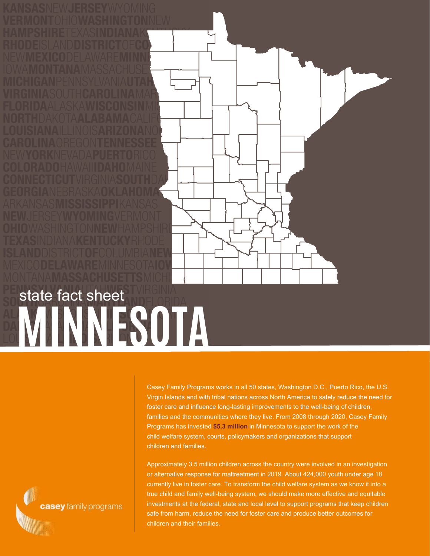

Casey Family Programs works in all 50 states, Washington D.C., Puerto Rico, the U.S. Virgin Islands and with tribal nations across North America to safely reduce the need for foster care and influence long-lasting improvements to the well-being of children, families and the communities where they live. From 2008 through 2020, Casey Family Programs has invested **\$5.3 million** in Minnesota to support the work of the child welfare system, courts, policymakers and organizations that support children and families.

Approximately 3.5 million children across the country were involved in an investigation or alternative response for maltreatment in 2019. About 424,000 youth under age 18 currently live in foster care. To transform the child welfare system as we know it into a true child and family well-being system, we should make more effective and equitable investments at the federal, state and local level to support programs that keep children safe from harm, reduce the need for foster care and produce better outcomes for children and their families.

casey family programs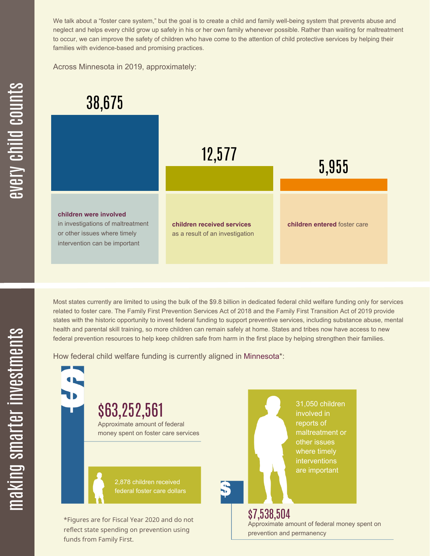We talk about a "foster care system," but the goal is to create a child and family well-being system that prevents abuse and neglect and helps every child grow up safely in his or her own family whenever possible. Rather than waiting for maltreatment to occur, we can improve the safety of children who have come to the attention of child protective services by helping their families with evidence-based and promising practices.

Across Minnesota in 2019, approximately:



Most states currently are limited to using the bulk of the \$9.8 billion in dedicated federal child welfare funding only for services related to foster care. The Family First Prevention Services Act of 2018 and the Family First Transition Act of 2019 provide states with the historic opportunity to invest federal funding to support preventive services, including substance abuse, mental health and parental skill training, so more children can remain safely at home. States and tribes now have access to new federal prevention resources to help keep children safe from harm in the first place by helping strengthen their families.

How federal child welfare funding is currently aligned in Minnesota\*:

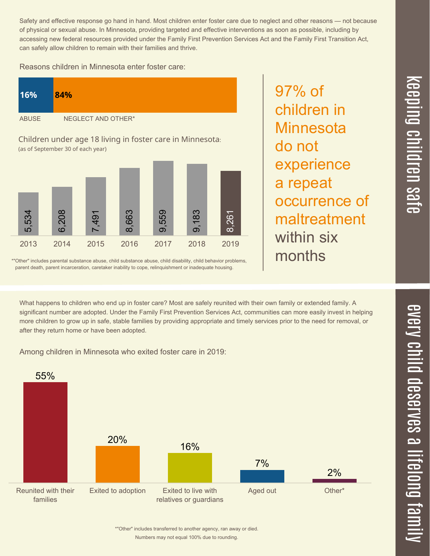Safety and effective response go hand in hand. Most children enter foster care due to neglect and other reasons — not because of physical or sexual abuse. In Minnesota, providing targeted and effective interventions as soon as possible, including by accessing new federal resources provided under the Family First Prevention Services Act and the Family First Transition Act, can safely allow children to remain with their families and thrive.

Reasons children in Minnesota enter foster care:

| 16%          | 84%                |
|--------------|--------------------|
| <b>ABUSE</b> | NEGLECT AND OTHER* |

Children under age 18 living in foster care in Minnesota: (as of September 30 of each year)



\*"Other" includes parental substance abuse, child substance abuse, child disability, child behavior problems, parent death, parent incarceration, caretaker inability to cope, relinquishment or inadequate housing.

occurrence of maltreatment within six months

97% of

do not

children in

**Minnesota** 

experience

a repeat

What happens to children who end up in foster care? Most are safely reunited with their own family or extended family. A significant number are adopted. Under the Family First Prevention Services Act, communities can more easily invest in helping more children to grow up in safe, stable families by providing appropriate and timely services prior to the need for removal, or after they return home or have been adopted.

Among children in Minnesota who exited foster care in 2019:



 $\overline{\mathbf{C}}$  $\leq$  $\overline{\mathbf{C}}$  $\overline{\mathsf{Z}}$  $\overline{\mathbf{C}}$ 

 $\equiv$ 

 $\blacksquare$ e  $\boldsymbol{\mathcal{C}}$  $\overline{\mathbf{C}}$  $\overline{\phantom{a}}$  $\overline{\mathbf{C}}$  $\mathcal{C}$ <u>م</u>

 $\equiv$ 

el<br>O  $\overline{\phantom{0}}$  $\blacksquare$ 

t<br>B

mily

Numbers may not equal 100% due to rounding. \*"Other" includes transferred to another agency, ran away or died.